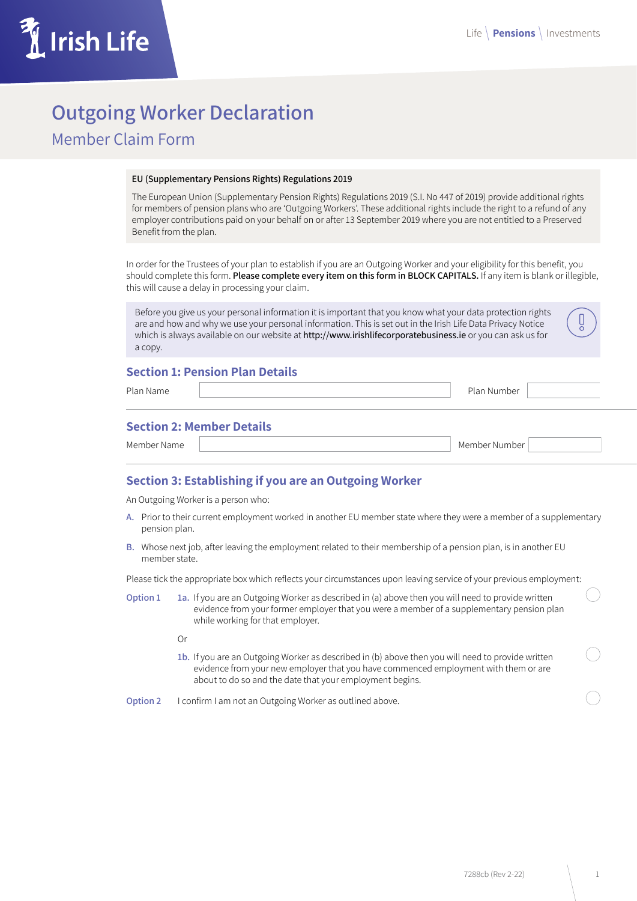

# **Outgoing Worker Declaration** Member Claim Form

#### **EU (Supplementary Pensions Rights) Regulations 2019**

The European Union (Supplementary Pension Rights) Regulations 2019 (S.I. No 447 of 2019) provide additional rights for members of pension plans who are 'Outgoing Workers'. These additional rights include the right to a refund of any employer contributions paid on your behalf on or after 13 September 2019 where you are not entitled to a Preserved Benefit from the plan.

In order for the Trustees of your plan to establish if you are an Outgoing Worker and your eligibility for this benefit, you should complete this form. **Please complete every item on this form in BLOCK CAPITALS.** If any item is blank or illegible, this will cause a delay in processing your claim.

Before you give us your personal information it is important that you know what your data protection rights are and how and why we use your personal information. This is set out in the Irish Life Data Privacy Notice which is always available on our website at http://www.irishlifecorporatebusiness.ie or you can ask us for a copy.

## **Section 1: Pension Plan Details**

Plan Name Plan Number Plan Number Plan Number Plan Number

IJ

### **Section 2: Member Details**

Member Name Manner (Manner Museum Member Number Number Number Number Number Number  $\mathbb{R}^n$ 

**Section 3: Establishing if you are an Outgoing Worker**

An Outgoing Worker is a person who:

- **A.** Prior to their current employment worked in another EU member state where they were a member of a supplementary pension plan.
- **B.** Whose next job, after leaving the employment related to their membership of a pension plan, is in another EU member state.

Please tick the appropriate box which reflects your circumstances upon leaving service of your previous employment:

| Option 1 | 1a. If you are an Outgoing Worker as described in (a) above then you will need to provide written |  |
|----------|---------------------------------------------------------------------------------------------------|--|
|          | evidence from your former employer that you were a member of a supplementary pension plan         |  |
|          | while working for that employer.                                                                  |  |

- Or
- **1b.** If you are an Outgoing Worker as described in (b) above then you will need to provide written evidence from your new employer that you have commenced employment with them or are about to do so and the date that your employment begins.

**Option 2** I confirm I am not an Outgoing Worker as outlined above.